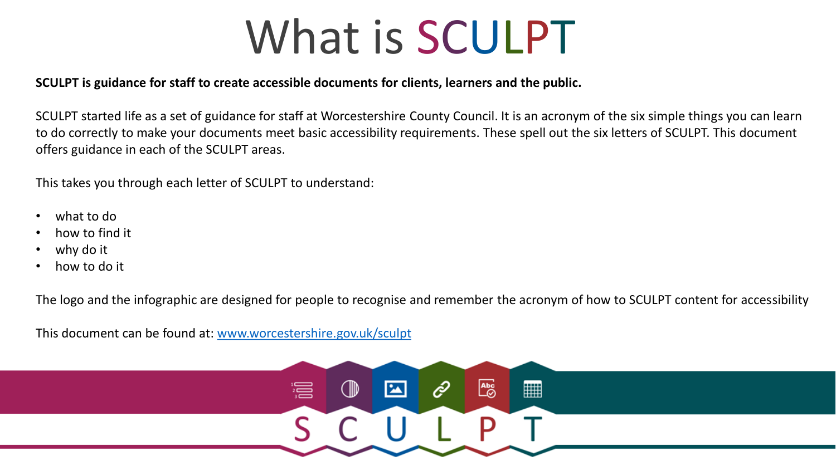# What is SCULPT

#### **SCULPT is guidance for staff to create accessible documents for clients, learners and the public.**

SCULPT started life as a set of guidance for staff at Worcestershire County Council. It is an acronym of the six simple things you can learn to do correctly to make your documents meet basic accessibility requirements. These spell out the six letters of SCULPT. This document offers guidance in each of the SCULPT areas.

This takes you through each letter of SCULPT to understand:

- what to do
- how to find it
- why do it
- how to do it

The logo and the infographic are designed for people to recognise and remember the acronym of how to SCULPT content for accessibility

This document can be found at: [www.worcestershire.gov.uk/sculpt](http://www.worcestershire.gov.uk/sculpt)

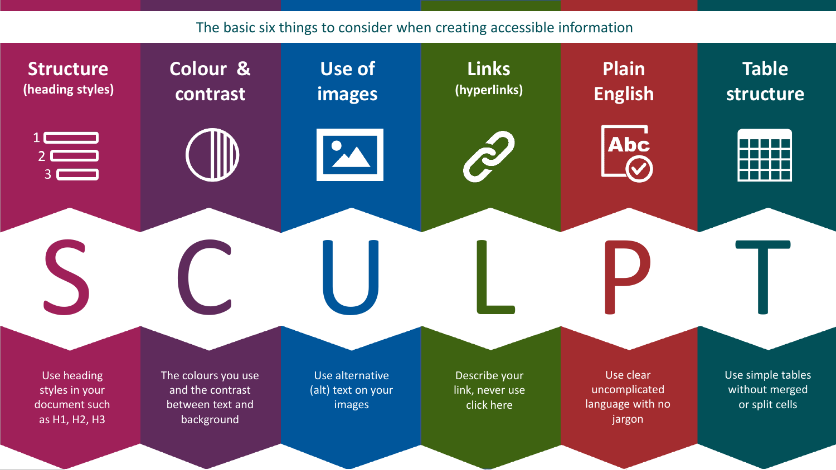#### The basic six things to consider when creating accessible information

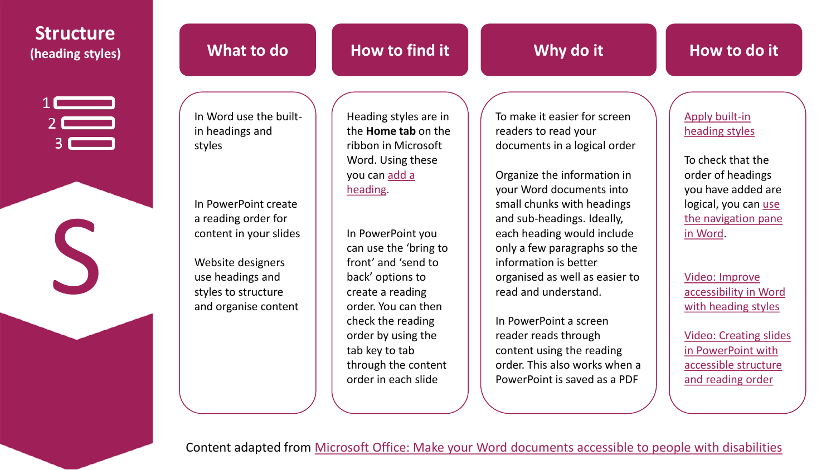| <b>Structure</b><br>(heading styles)                                                            | What to do                                                                                                                                                                                                           | How to find it                                                                                                                                                                                                                                                                                                                                       | Why do it                                                                                                                                                                                                                                                                                                                                                                                                                                                                    | How to do it                                                                                                                                                                                                                                                                                                |
|-------------------------------------------------------------------------------------------------|----------------------------------------------------------------------------------------------------------------------------------------------------------------------------------------------------------------------|------------------------------------------------------------------------------------------------------------------------------------------------------------------------------------------------------------------------------------------------------------------------------------------------------------------------------------------------------|------------------------------------------------------------------------------------------------------------------------------------------------------------------------------------------------------------------------------------------------------------------------------------------------------------------------------------------------------------------------------------------------------------------------------------------------------------------------------|-------------------------------------------------------------------------------------------------------------------------------------------------------------------------------------------------------------------------------------------------------------------------------------------------------------|
| $\begin{array}{c}\n1 \quad \text{---} \\ 2 \quad \text{---} \\ 3 \quad \text{---}\n\end{array}$ | In Word use the built-<br>in headings and<br>styles<br>In PowerPoint create<br>a reading order for<br>content in your slides<br>Website designers<br>use headings and<br>styles to structure<br>and organise content | Heading styles are in<br>the <b>Home tab</b> on the<br>ribbon in Microsoft<br>Word. Using these<br>you can add a<br>heading.<br>In PowerPoint you<br>can use the 'bring to<br>front' and 'send to<br>back' options to<br>create a reading<br>order. You can then<br>check the reading<br>order by using the<br>tab key to tab<br>through the content | To make it easier for screen<br>readers to read your<br>documents in a logical order<br>Organize the information in<br>your Word documents into<br>small chunks with headings<br>and sub-headings. Ideally,<br>each heading would include<br>only a few paragraphs so the<br>information is better<br>organised as well as easier to<br>read and understand.<br>In PowerPoint a screen<br>reader reads through<br>content using the reading<br>order. This also works when a | Apply built-in<br>heading styles<br>To check that the<br>order of headings<br>you have added are<br>logical, you can use<br>the navigation pane<br>in Word.<br>Video: Improve<br>accessibility in Word<br>with heading styles<br><b>Video: Creating slide</b><br>in PowerPoint with<br>accessible structure |
|                                                                                                 |                                                                                                                                                                                                                      | order in each slide                                                                                                                                                                                                                                                                                                                                  | PowerPoint is saved as a PDF<br>Content adapted from Microsoft Office: Make your Word documents accessible to people with disabilities                                                                                                                                                                                                                                                                                                                                       | and reading order                                                                                                                                                                                                                                                                                           |

Video: Creating slides in PowerPoint with [accessible structure](https://support.office.com/en-us/article/video-create-more-accessible-slides-794fc5da-f686-464d-8c29-1c6ab8515465)  and reading order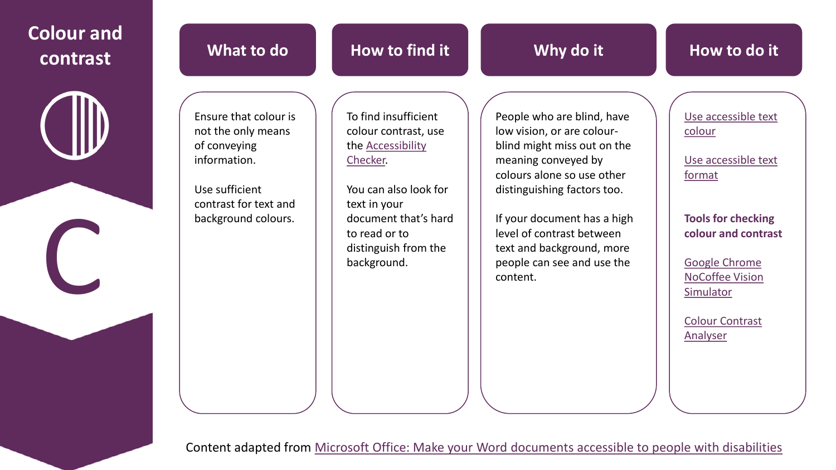| <b>Colour and</b><br>contrast | What to do                                                                                                                                    | How to find it                                                                                                                                                                                                | Why do it                                                                                                                                                                                                                                                                                                      | How to do it                                                                                                                                                                                                            |
|-------------------------------|-----------------------------------------------------------------------------------------------------------------------------------------------|---------------------------------------------------------------------------------------------------------------------------------------------------------------------------------------------------------------|----------------------------------------------------------------------------------------------------------------------------------------------------------------------------------------------------------------------------------------------------------------------------------------------------------------|-------------------------------------------------------------------------------------------------------------------------------------------------------------------------------------------------------------------------|
|                               | Ensure that colour is<br>not the only means<br>of conveying<br>information.<br>Use sufficient<br>contrast for text and<br>background colours. | To find insufficient<br>colour contrast, use<br>the <b>Accessibility</b><br>Checker.<br>You can also look for<br>text in your<br>document that's hard<br>to read or to<br>distinguish from the<br>background. | People who are blind, have<br>low vision, or are colour-<br>blind might miss out on the<br>meaning conveyed by<br>colours alone so use other<br>distinguishing factors too.<br>If your document has a high<br>level of contrast between<br>text and background, more<br>people can see and use the<br>content. | Use accessible text<br>colour<br>Use accessible text<br>format<br><b>Tools for checking</b><br>colour and contrast<br><b>Google Chrome</b><br><b>NoCoffee Vision</b><br>Simulator<br><b>Colour Contrast</b><br>Analyser |

Content adapted from [Microsoft Office: Make your Word documents accessible to people with disabilities](https://support.office.com/en-us/article/make-your-word-documents-accessible-to-people-with-disabilities-d9bf3683-87ac-47ea-b91a-78dcacb3c66d?ui=en-US&rs=en-US&ad=US)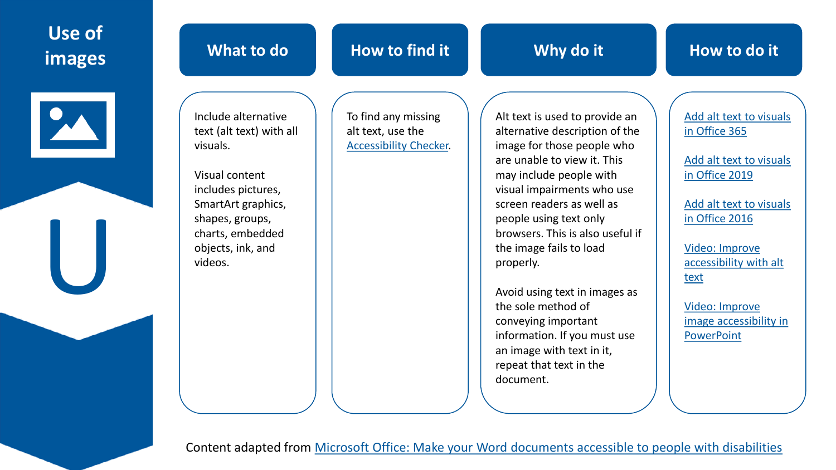## **Use of images What to do**



U

## **How to find it**

**Why do it**

Include alternative text (alt text) with all visuals.

Visual content includes pictures, SmartArt graphics, shapes, groups, charts, embedded objects, ink, and videos.

To find any missing alt text, use the [Accessibility Checker.](https://support.office.com/en-us/article/improve-accessibility-with-the-accessibility-checker-a16f6de0-2f39-4a2b-8bd8-5ad801426c7f#picktab=windows)

Alt text is used to provide an alternative description of the image for those people who are unable to view it. This may include people with visual impairments who use screen readers as well as people using text only browsers. This is also useful if the image fails to load properly.

Avoid using text in images as the sole method of conveying important information. If you must use an image with text in it, repeat that text in the document.

[Add alt text to visuals](https://support.office.com/en-us/article/make-your-word-documents-accessible-to-people-with-disabilities-d9bf3683-87ac-47ea-b91a-78dcacb3c66d?ui=en-US&rs=en-US&ad=US#bkmk_winaltvisuals) in Office 365

[Add alt text to visuals](https://support.office.com/en-us/article/make-your-word-documents-accessible-to-people-with-disabilities-d9bf3683-87ac-47ea-b91a-78dcacb3c66d?ui=en-US&rs=en-US&ad=US#bkmk_winaltvisuals2019) in Office 2019

[Add alt text to visuals](https://support.office.com/en-us/article/make-your-word-documents-accessible-to-people-with-disabilities-d9bf3683-87ac-47ea-b91a-78dcacb3c66d?ui=en-US&rs=en-US&ad=US#bkmk_winaltvisuals2016) in Office 2016

Video: Improve [accessibility with alt](https://support.office.com/en-us/article/video-improve-accessibility-with-alt-text-9c57ee44-bb48-40e3-aad4-7647fc1dba51?ui=en-US&rs=en-US&ad=US) text

Video: Improve [image accessibility in](https://support.office.com/en-us/article/video-improve-image-accessibility-in-powerpoint-2e7fdfc4-1fa5-4092-be4b-8a4ca592197c?ui=en-US&rs=en-US&ad=US) **PowerPoint** 

Content adapted from [Microsoft Office: Make your Word documents accessible to people with disabilities](https://support.office.com/en-us/article/make-your-word-documents-accessible-to-people-with-disabilities-d9bf3683-87ac-47ea-b91a-78dcacb3c66d?ui=en-US&rs=en-US&ad=US)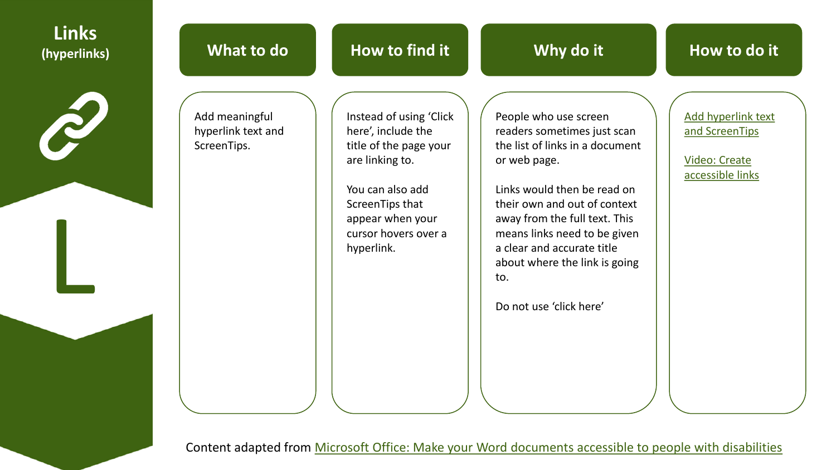| <b>Links</b><br>(hyperlinks) | What to do                                          | How to find it                                                                                                                                                                              | Why do it                                                                                                                                                                                                                                                                                                                                                                                                                                          | How to do it                                                                     |
|------------------------------|-----------------------------------------------------|---------------------------------------------------------------------------------------------------------------------------------------------------------------------------------------------|----------------------------------------------------------------------------------------------------------------------------------------------------------------------------------------------------------------------------------------------------------------------------------------------------------------------------------------------------------------------------------------------------------------------------------------------------|----------------------------------------------------------------------------------|
|                              | Add meaningful<br>hyperlink text and<br>ScreenTips. | Instead of using 'Click<br>here', include the<br>title of the page your<br>are linking to.<br>You can also add<br>ScreenTips that<br>appear when your<br>cursor hovers over a<br>hyperlink. | People who use screen<br>readers sometimes just scan<br>the list of links in a document<br>or web page.<br>Links would then be read on<br>their own and out of context<br>away from the full text. This<br>means links need to be given<br>a clear and accurate title<br>about where the link is going<br>to.<br>Do not use 'click here'<br>Content adapted from Microsoft Office: Make your Word documents accessible to people with disabilities | Add hyperlink text<br>and ScreenTips<br><b>Video: Create</b><br>accessible links |
|                              |                                                     |                                                                                                                                                                                             |                                                                                                                                                                                                                                                                                                                                                                                                                                                    |                                                                                  |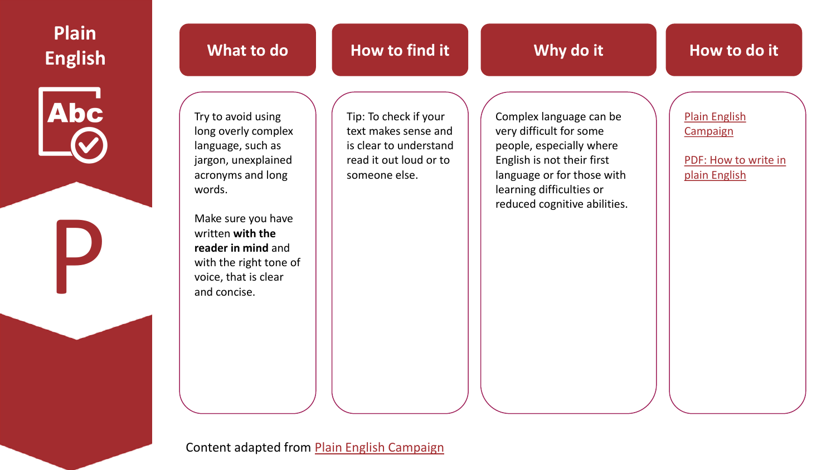| <b>Plain</b><br><b>English</b> | What to do                                                                                                                                                                                                                                             | How to find it                                                                                                     | Why do it                                                                                                                                                                                              | How to do it                                                              |
|--------------------------------|--------------------------------------------------------------------------------------------------------------------------------------------------------------------------------------------------------------------------------------------------------|--------------------------------------------------------------------------------------------------------------------|--------------------------------------------------------------------------------------------------------------------------------------------------------------------------------------------------------|---------------------------------------------------------------------------|
| <b>Abc</b>                     | Try to avoid using<br>long overly complex<br>language, such as<br>jargon, unexplained<br>acronyms and long<br>words.<br>Make sure you have<br>written with the<br>reader in mind and<br>with the right tone of<br>voice, that is clear<br>and concise. | Tip: To check if your<br>text makes sense and<br>is clear to understand<br>read it out loud or to<br>someone else. | Complex language can be<br>very difficult for some<br>people, especially where<br>English is not their first<br>language or for those with<br>learning difficulties or<br>reduced cognitive abilities. | <b>Plain English</b><br>Campaign<br>PDF: How to write in<br>plain English |
|                                |                                                                                                                                                                                                                                                        |                                                                                                                    |                                                                                                                                                                                                        |                                                                           |

Content adapted from **Plain English Campaign**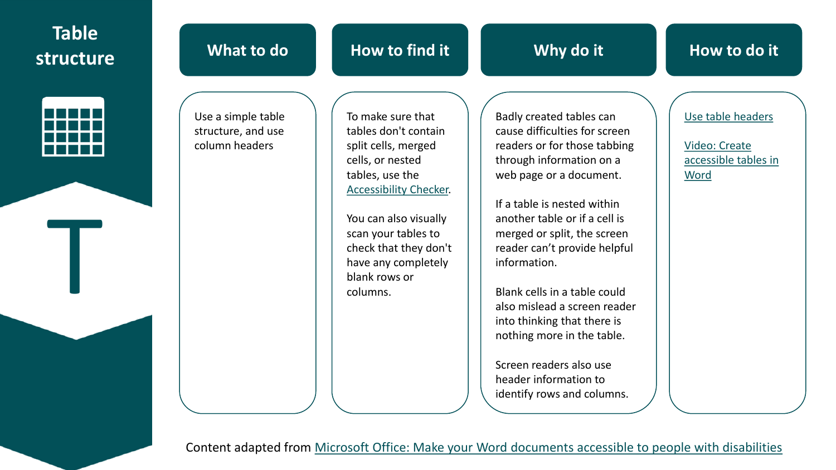## **Table structure**



T

| What to do                                                 | How to find it                                                                                                | Why do it                                                                                                    | How to do it                              |
|------------------------------------------------------------|---------------------------------------------------------------------------------------------------------------|--------------------------------------------------------------------------------------------------------------|-------------------------------------------|
| Use a simple table<br>structure, and use<br>column headers | To make sure that<br>tables don't contain<br>split cells, merged                                              | Badly created tables can<br>cause difficulties for screen<br>readers or for those tabbing                    | Use table headers<br><b>Video: Create</b> |
|                                                            | cells, or nested<br>tables, use the<br><b>Accessibility Checker.</b>                                          | through information on a<br>web page or a document.<br>If a table is nested within                           | accessible tables in<br>Word              |
|                                                            | You can also visually<br>scan your tables to<br>check that they don't<br>have any completely<br>blank rows or | another table or if a cell is<br>merged or split, the screen<br>reader can't provide helpful<br>information. |                                           |
|                                                            | columns.                                                                                                      | Blank cells in a table could<br>also mislead a screen reader                                                 |                                           |

Content adapted from [Microsoft Office: Make your Word documents accessible to people with disabilities](https://support.office.com/en-us/article/make-your-word-documents-accessible-to-people-with-disabilities-d9bf3683-87ac-47ea-b91a-78dcacb3c66d?ui=en-US&rs=en-US&ad=US)

into thinking that there is nothing more in the table.

Screen readers also use header information to

identify rows and columns.